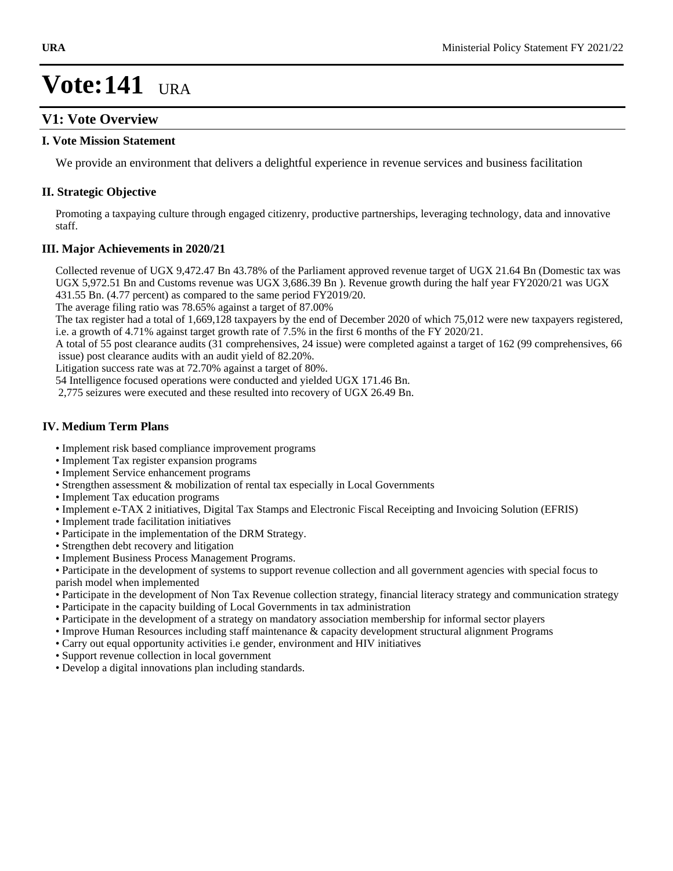## **V1: Vote Overview**

### **I. Vote Mission Statement**

We provide an environment that delivers a delightful experience in revenue services and business facilitation

### **II. Strategic Objective**

Promoting a taxpaying culture through engaged citizenry, productive partnerships, leveraging technology, data and innovative staff.

### **III. Major Achievements in 2020/21**

Collected revenue of UGX 9,472.47 Bn 43.78% of the Parliament approved revenue target of UGX 21.64 Bn (Domestic tax was UGX 5,972.51 Bn and Customs revenue was UGX 3,686.39 Bn ). Revenue growth during the half year FY2020/21 was UGX 431.55 Bn. (4.77 percent) as compared to the same period FY2019/20.

The average filing ratio was 78.65% against a target of 87.00%

The tax register had a total of 1,669,128 taxpayers by the end of December 2020 of which 75,012 were new taxpayers registered, i.e. a growth of 4.71% against target growth rate of 7.5% in the first 6 months of the FY 2020/21.

A total of 55 post clearance audits (31 comprehensives, 24 issue) were completed against a target of 162 (99 comprehensives, 66 issue) post clearance audits with an audit yield of 82.20%.

Litigation success rate was at 72.70% against a target of 80%.

54 Intelligence focused operations were conducted and yielded UGX 171.46 Bn.

2,775 seizures were executed and these resulted into recovery of UGX 26.49 Bn.

## **IV. Medium Term Plans**

- Implement risk based compliance improvement programs
- Implement Tax register expansion programs
- Implement Service enhancement programs
- Strengthen assessment & mobilization of rental tax especially in Local Governments
- Implement Tax education programs
- Implement e-TAX 2 initiatives, Digital Tax Stamps and Electronic Fiscal Receipting and Invoicing Solution (EFRIS)
- Implement trade facilitation initiatives
- Participate in the implementation of the DRM Strategy.
- Strengthen debt recovery and litigation
- Implement Business Process Management Programs.

Participate in the development of systems to support revenue collection and all government agencies with special focus to parish model when implemented

- Participate in the development of Non Tax Revenue collection strategy, financial literacy strategy and communication strategy
- Participate in the capacity building of Local Governments in tax administration
- Participate in the development of a strategy on mandatory association membership for informal sector players
- Improve Human Resources including staff maintenance & capacity development structural alignment Programs
- Carry out equal opportunity activities i.e gender, environment and HIV initiatives
- Support revenue collection in local government
- Develop a digital innovations plan including standards.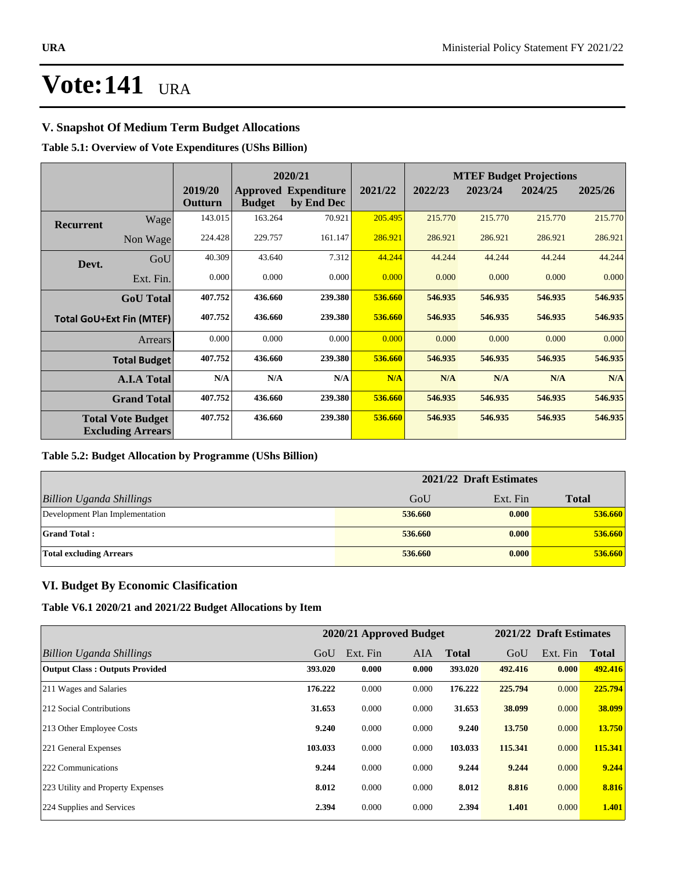## **V. Snapshot Of Medium Term Budget Allocations**

## **Table 5.1: Overview of Vote Expenditures (UShs Billion)**

|           |                                                      |                    |               | 2020/21                                   |         | <b>MTEF Budget Projections</b> |         |         |         |
|-----------|------------------------------------------------------|--------------------|---------------|-------------------------------------------|---------|--------------------------------|---------|---------|---------|
|           |                                                      | 2019/20<br>Outturn | <b>Budget</b> | <b>Approved Expenditure</b><br>by End Dec | 2021/22 | 2022/23                        | 2023/24 | 2024/25 | 2025/26 |
| Recurrent | Wagel                                                | 143.015            | 163.264       | 70.921                                    | 205.495 | 215.770                        | 215.770 | 215.770 | 215.770 |
|           | Non Wage                                             | 224.428            | 229.757       | 161.147                                   | 286.921 | 286.921                        | 286.921 | 286.921 | 286.921 |
| Devt.     | GoU                                                  | 40.309             | 43.640        | 7.312                                     | 44.244  | 44.244                         | 44.244  | 44.244  | 44.244  |
|           | Ext. Fin.                                            | 0.000              | 0.000         | 0.000                                     | 0.000   | 0.000                          | 0.000   | 0.000   | 0.000   |
|           | <b>GoU</b> Total                                     | 407.752            | 436.660       | 239.380                                   | 536.660 | 546.935                        | 546.935 | 546.935 | 546.935 |
|           | <b>Total GoU+Ext Fin (MTEF)</b>                      | 407.752            | 436.660       | 239.380                                   | 536.660 | 546.935                        | 546.935 | 546.935 | 546.935 |
|           | <b>Arrears</b>                                       | 0.000              | 0.000         | 0.000                                     | 0.000   | 0.000                          | 0.000   | 0.000   | 0.000   |
|           | <b>Total Budget</b>                                  | 407.752            | 436.660       | 239.380                                   | 536.660 | 546.935                        | 546.935 | 546.935 | 546.935 |
|           | <b>A.I.A Total</b>                                   | N/A                | N/A           | N/A                                       | N/A     | N/A                            | N/A     | N/A     | N/A     |
|           | <b>Grand Total</b>                                   | 407.752            | 436.660       | 239.380                                   | 536.660 | 546.935                        | 546.935 | 546.935 | 546.935 |
|           | <b>Total Vote Budget</b><br><b>Excluding Arrears</b> | 407.752            | 436.660       | 239.380                                   | 536.660 | 546.935                        | 546.935 | 546.935 | 546.935 |

### **Table 5.2: Budget Allocation by Programme (UShs Billion)**

|                                 | 2021/22 Draft Estimates |          |              |
|---------------------------------|-------------------------|----------|--------------|
| <b>Billion Uganda Shillings</b> | GoU                     | Ext. Fin | <b>Total</b> |
| Development Plan Implementation | 536.660                 | 0.000    | 536.660      |
| <b>Grand Total:</b>             | 536.660                 | 0.000    | 536.660      |
| <b>Total excluding Arrears</b>  | 536.660                 | 0.000    | 536.660      |

## **VI. Budget By Economic Clasification**

**Table V6.1 2020/21 and 2021/22 Budget Allocations by Item**

|                                       |         | 2020/21 Approved Budget |       |              |         | 2021/22 Draft Estimates |              |
|---------------------------------------|---------|-------------------------|-------|--------------|---------|-------------------------|--------------|
| Billion Uganda Shillings              | GoU     | Ext. Fin                | AIA   | <b>Total</b> | GoU     | Ext. Fin                | <b>Total</b> |
| <b>Output Class: Outputs Provided</b> | 393.020 | 0.000                   | 0.000 | 393.020      | 492.416 | 0.000                   | 492.416      |
| 211 Wages and Salaries                | 176.222 | 0.000                   | 0.000 | 176.222      | 225.794 | 0.000                   | 225.794      |
| 212 Social Contributions              | 31.653  | 0.000                   | 0.000 | 31.653       | 38.099  | 0.000                   | 38.099       |
| 213 Other Employee Costs              | 9.240   | 0.000                   | 0.000 | 9.240        | 13.750  | 0.000                   | 13.750       |
| 221 General Expenses                  | 103.033 | 0.000                   | 0.000 | 103.033      | 115.341 | 0.000                   | 115.341      |
| 222 Communications                    | 9.244   | 0.000                   | 0.000 | 9.244        | 9.244   | 0.000                   | 9,244        |
| 223 Utility and Property Expenses     | 8.012   | 0.000                   | 0.000 | 8.012        | 8.816   | 0.000                   | 8.816        |
| 224 Supplies and Services             | 2.394   | 0.000                   | 0.000 | 2.394        | 1.401   | 0.000                   | 1.401        |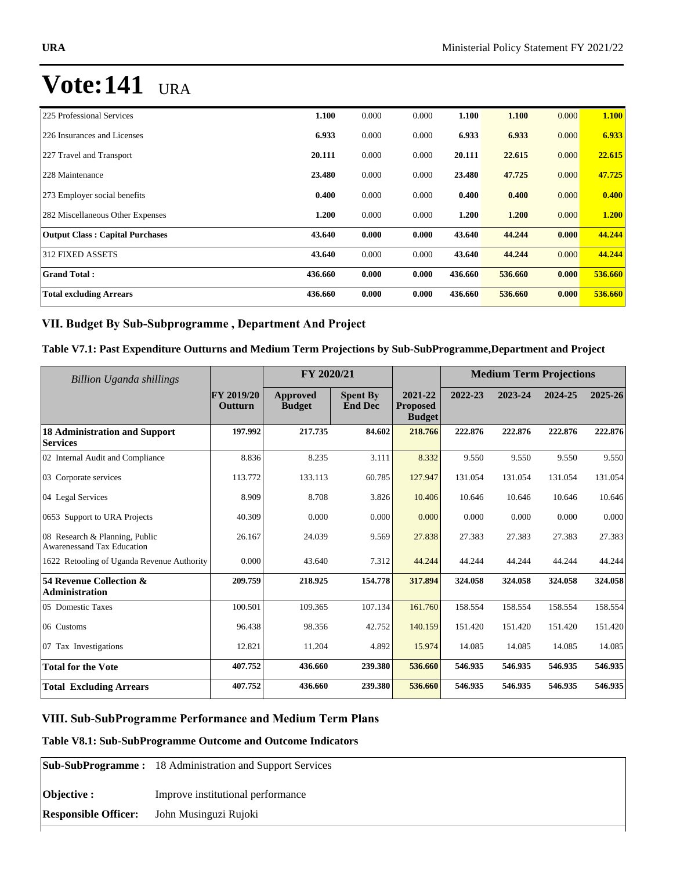| 225 Professional Services              | 1.100   | 0.000 | 0.000 | 1.100   | 1.100   | 0.000 | 1.100   |
|----------------------------------------|---------|-------|-------|---------|---------|-------|---------|
| 226 Insurances and Licenses            | 6.933   | 0.000 | 0.000 | 6.933   | 6.933   | 0.000 | 6.933   |
| 227 Travel and Transport               | 20.111  | 0.000 | 0.000 | 20.111  | 22.615  | 0.000 | 22.615  |
| 228 Maintenance                        | 23.480  | 0.000 | 0.000 | 23.480  | 47.725  | 0.000 | 47.725  |
| 273 Employer social benefits           | 0.400   | 0.000 | 0.000 | 0.400   | 0.400   | 0.000 | 0.400   |
| 282 Miscellaneous Other Expenses       | 1.200   | 0.000 | 0.000 | 1.200   | 1.200   | 0.000 | 1.200   |
| <b>Output Class: Capital Purchases</b> | 43.640  | 0.000 | 0.000 | 43.640  | 44.244  | 0.000 | 44.244  |
| <b>312 FIXED ASSETS</b>                | 43.640  | 0.000 | 0.000 | 43.640  | 44.244  | 0.000 | 44.244  |
| <b>Grand Total:</b>                    | 436.660 | 0.000 | 0.000 | 436.660 | 536.660 | 0.000 | 536.660 |
| <b>Total excluding Arrears</b>         | 436.660 | 0.000 | 0.000 | 436.660 | 536.660 | 0.000 | 536.660 |

## VII. Budget By Sub-Subprogramme, Department And Project

## **Table V7.1: Past Expenditure Outturns and Medium Term Projections by Sub-SubProgramme,Department and Project**

| Billion Uganda shillings                                            |                                     | FY 2020/21                |                                   |                                             | <b>Medium Term Projections</b> |         |         |         |
|---------------------------------------------------------------------|-------------------------------------|---------------------------|-----------------------------------|---------------------------------------------|--------------------------------|---------|---------|---------|
|                                                                     | <b>FY 2019/20</b><br><b>Outturn</b> | Approved<br><b>Budget</b> | <b>Spent By</b><br><b>End Dec</b> | 2021-22<br><b>Proposed</b><br><b>Budget</b> | 2022-23                        | 2023-24 | 2024-25 | 2025-26 |
| <b>18 Administration and Support</b><br><b>Services</b>             | 197.992                             | 217.735                   | 84.602                            | 218.766                                     | 222.876                        | 222.876 | 222.876 | 222.876 |
| 02 Internal Audit and Compliance                                    | 8.836                               | 8.235                     | 3.111                             | 8.332                                       | 9.550                          | 9.550   | 9.550   | 9.550   |
| 03 Corporate services                                               | 113.772                             | 133.113                   | 60.785                            | 127.947                                     | 131.054                        | 131.054 | 131.054 | 131.054 |
| 04 Legal Services                                                   | 8.909                               | 8.708                     | 3.826                             | 10.406                                      | 10.646                         | 10.646  | 10.646  | 10.646  |
| 0653 Support to URA Projects                                        | 40.309                              | 0.000                     | 0.000                             | 0.000                                       | 0.000                          | 0.000   | 0.000   | 0.000   |
| 08 Research & Planning, Public<br><b>Awarenessand Tax Education</b> | 26.167                              | 24.039                    | 9.569                             | 27.838                                      | 27.383                         | 27.383  | 27.383  | 27.383  |
| 1622 Retooling of Uganda Revenue Authority                          | 0.000                               | 43.640                    | 7.312                             | 44.244                                      | 44.244                         | 44.244  | 44.244  | 44.244  |
| 54 Revenue Collection &<br><b>Administration</b>                    | 209.759                             | 218.925                   | 154.778                           | 317.894                                     | 324.058                        | 324.058 | 324.058 | 324.058 |
| 05 Domestic Taxes                                                   | 100.501                             | 109.365                   | 107.134                           | 161.760                                     | 158.554                        | 158.554 | 158.554 | 158.554 |
| 06 Customs                                                          | 96.438                              | 98.356                    | 42.752                            | 140.159                                     | 151.420                        | 151.420 | 151.420 | 151.420 |
| 07 Tax Investigations                                               | 12.821                              | 11.204                    | 4.892                             | 15.974                                      | 14.085                         | 14.085  | 14.085  | 14.085  |
| <b>Total for the Vote</b>                                           | 407.752                             | 436.660                   | 239.380                           | 536.660                                     | 546.935                        | 546.935 | 546.935 | 546.935 |
| <b>Total Excluding Arrears</b>                                      | 407.752                             | 436.660                   | 239.380                           | 536.660                                     | 546.935                        | 546.935 | 546.935 | 546.935 |

## **VIII. Sub-SubProgramme Performance and Medium Term Plans**

## **Table V8.1: Sub-SubProgramme Outcome and Outcome Indicators**

|                             | <b>Sub-SubProgramme:</b> 18 Administration and Support Services |
|-----------------------------|-----------------------------------------------------------------|
| Objective :                 | Improve institutional performance                               |
| <b>Responsible Officer:</b> | John Musinguzi Rujoki                                           |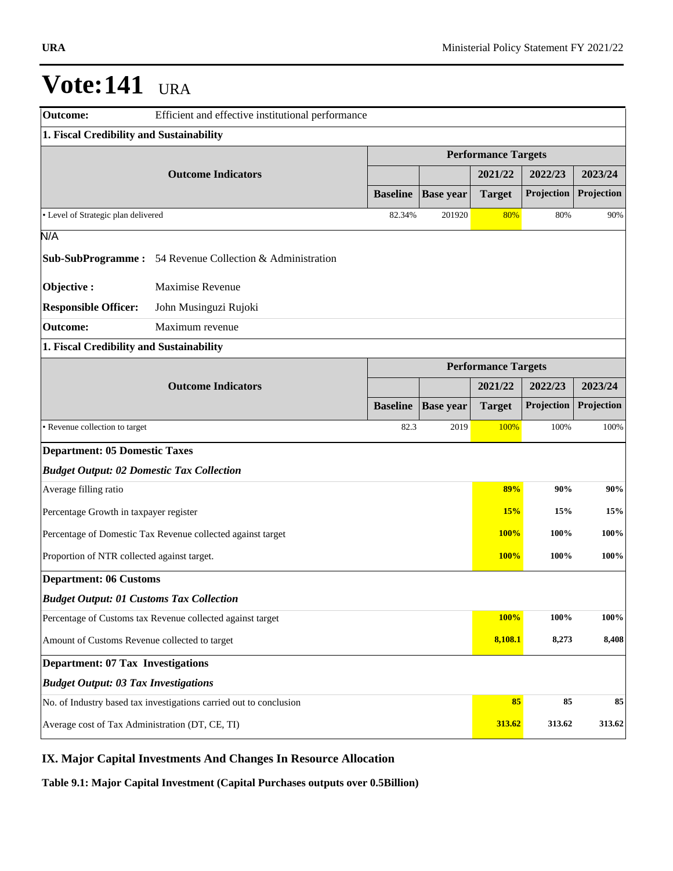| <b>Outcome:</b>                                  | Efficient and effective institutional performance                  |                 |                            |                            |            |            |  |  |  |
|--------------------------------------------------|--------------------------------------------------------------------|-----------------|----------------------------|----------------------------|------------|------------|--|--|--|
| 1. Fiscal Credibility and Sustainability         |                                                                    |                 |                            |                            |            |            |  |  |  |
|                                                  |                                                                    |                 | <b>Performance Targets</b> |                            |            |            |  |  |  |
|                                                  | <b>Outcome Indicators</b>                                          |                 |                            | 2021/22                    | 2022/23    | 2023/24    |  |  |  |
|                                                  |                                                                    | <b>Baseline</b> | <b>Base year</b>           | <b>Target</b>              | Projection | Projection |  |  |  |
| • Level of Strategic plan delivered              |                                                                    | 82.34%          | 201920                     | 80%                        | 80%        | 90%        |  |  |  |
| N/A                                              |                                                                    |                 |                            |                            |            |            |  |  |  |
|                                                  | <b>Sub-SubProgramme:</b> 54 Revenue Collection & Administration    |                 |                            |                            |            |            |  |  |  |
| Objective:                                       | Maximise Revenue                                                   |                 |                            |                            |            |            |  |  |  |
| <b>Responsible Officer:</b>                      | John Musinguzi Rujoki                                              |                 |                            |                            |            |            |  |  |  |
| <b>Outcome:</b>                                  | Maximum revenue                                                    |                 |                            |                            |            |            |  |  |  |
| 1. Fiscal Credibility and Sustainability         |                                                                    |                 |                            |                            |            |            |  |  |  |
|                                                  |                                                                    |                 |                            | <b>Performance Targets</b> |            |            |  |  |  |
|                                                  | <b>Outcome Indicators</b>                                          |                 |                            | 2021/22                    | 2022/23    | 2023/24    |  |  |  |
|                                                  |                                                                    | <b>Baseline</b> | <b>Base year</b>           | <b>Target</b>              | Projection | Projection |  |  |  |
| · Revenue collection to target                   |                                                                    | 82.3            | 2019                       | 100%                       | 100%       | 100%       |  |  |  |
| <b>Department: 05 Domestic Taxes</b>             |                                                                    |                 |                            |                            |            |            |  |  |  |
| <b>Budget Output: 02 Domestic Tax Collection</b> |                                                                    |                 |                            |                            |            |            |  |  |  |
| Average filling ratio                            |                                                                    |                 |                            | 89%                        | 90%        | 90%        |  |  |  |
| Percentage Growth in taxpayer register           |                                                                    |                 |                            | 15%                        | 15%        | 15%        |  |  |  |
|                                                  | Percentage of Domestic Tax Revenue collected against target        |                 |                            | <b>100%</b>                | 100%       | 100%       |  |  |  |
| Proportion of NTR collected against target.      |                                                                    |                 |                            | 100%                       | 100%       | 100%       |  |  |  |
| <b>Department: 06 Customs</b>                    |                                                                    |                 |                            |                            |            |            |  |  |  |
| <b>Budget Output: 01 Customs Tax Collection</b>  |                                                                    |                 |                            |                            |            |            |  |  |  |
|                                                  | Percentage of Customs tax Revenue collected against target         |                 |                            | 100%                       | 100%       | 100%       |  |  |  |
| Amount of Customs Revenue collected to target    |                                                                    |                 |                            | 8,108.1                    | 8,273      | 8,408      |  |  |  |
| <b>Department: 07 Tax Investigations</b>         |                                                                    |                 |                            |                            |            |            |  |  |  |
| <b>Budget Output: 03 Tax Investigations</b>      |                                                                    |                 |                            |                            |            |            |  |  |  |
|                                                  | No. of Industry based tax investigations carried out to conclusion |                 |                            | 85                         | 85         | 85         |  |  |  |
| Average cost of Tax Administration (DT, CE, TI)  |                                                                    |                 |                            | 313.62                     | 313.62     | 313.62     |  |  |  |

## **IX. Major Capital Investments And Changes In Resource Allocation**

**Table 9.1: Major Capital Investment (Capital Purchases outputs over 0.5Billion)**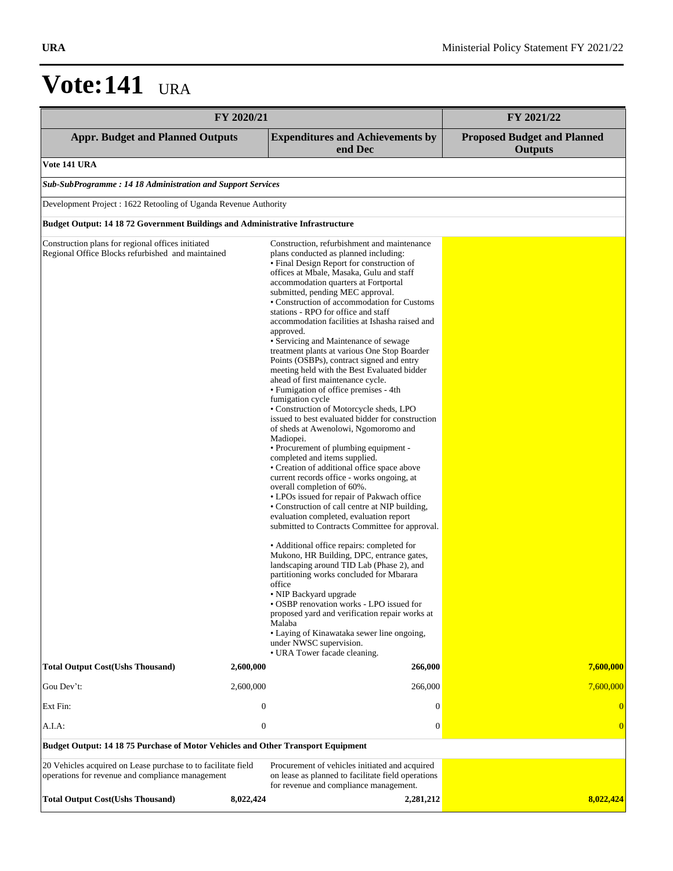| FY 2020/21                                                                                                        | FY 2021/22       |                                                                                                                                                                                                                                                                                                                                                                                                                                                                                                                                                                                                                                                                                                                                                                                                                                                                                                                                                                                                                                                                                                                                                                                                                                                                                                                                                                                                                                                                                                                                                                                                                                                                                                      |                                                      |
|-------------------------------------------------------------------------------------------------------------------|------------------|------------------------------------------------------------------------------------------------------------------------------------------------------------------------------------------------------------------------------------------------------------------------------------------------------------------------------------------------------------------------------------------------------------------------------------------------------------------------------------------------------------------------------------------------------------------------------------------------------------------------------------------------------------------------------------------------------------------------------------------------------------------------------------------------------------------------------------------------------------------------------------------------------------------------------------------------------------------------------------------------------------------------------------------------------------------------------------------------------------------------------------------------------------------------------------------------------------------------------------------------------------------------------------------------------------------------------------------------------------------------------------------------------------------------------------------------------------------------------------------------------------------------------------------------------------------------------------------------------------------------------------------------------------------------------------------------------|------------------------------------------------------|
| <b>Appr. Budget and Planned Outputs</b>                                                                           |                  | <b>Expenditures and Achievements by</b><br>end Dec                                                                                                                                                                                                                                                                                                                                                                                                                                                                                                                                                                                                                                                                                                                                                                                                                                                                                                                                                                                                                                                                                                                                                                                                                                                                                                                                                                                                                                                                                                                                                                                                                                                   | <b>Proposed Budget and Planned</b><br><b>Outputs</b> |
| Vote 141 URA                                                                                                      |                  |                                                                                                                                                                                                                                                                                                                                                                                                                                                                                                                                                                                                                                                                                                                                                                                                                                                                                                                                                                                                                                                                                                                                                                                                                                                                                                                                                                                                                                                                                                                                                                                                                                                                                                      |                                                      |
| Sub-SubProgramme: 14 18 Administration and Support Services                                                       |                  |                                                                                                                                                                                                                                                                                                                                                                                                                                                                                                                                                                                                                                                                                                                                                                                                                                                                                                                                                                                                                                                                                                                                                                                                                                                                                                                                                                                                                                                                                                                                                                                                                                                                                                      |                                                      |
| Development Project : 1622 Retooling of Uganda Revenue Authority                                                  |                  |                                                                                                                                                                                                                                                                                                                                                                                                                                                                                                                                                                                                                                                                                                                                                                                                                                                                                                                                                                                                                                                                                                                                                                                                                                                                                                                                                                                                                                                                                                                                                                                                                                                                                                      |                                                      |
| <b>Budget Output: 14 18 72 Government Buildings and Administrative Infrastructure</b>                             |                  |                                                                                                                                                                                                                                                                                                                                                                                                                                                                                                                                                                                                                                                                                                                                                                                                                                                                                                                                                                                                                                                                                                                                                                                                                                                                                                                                                                                                                                                                                                                                                                                                                                                                                                      |                                                      |
| Construction plans for regional offices initiated<br>Regional Office Blocks refurbished and maintained            |                  | Construction, refurbishment and maintenance<br>plans conducted as planned including:<br>• Final Design Report for construction of<br>offices at Mbale, Masaka, Gulu and staff<br>accommodation quarters at Fortportal<br>submitted, pending MEC approval.<br>• Construction of accommodation for Customs<br>stations - RPO for office and staff<br>accommodation facilities at Ishasha raised and<br>approved.<br>• Servicing and Maintenance of sewage<br>treatment plants at various One Stop Boarder<br>Points (OSBPs), contract signed and entry<br>meeting held with the Best Evaluated bidder<br>ahead of first maintenance cycle.<br>• Fumigation of office premises - 4th<br>fumigation cycle<br>· Construction of Motorcycle sheds, LPO<br>issued to best evaluated bidder for construction<br>of sheds at Awenolowi, Ngomoromo and<br>Madiopei.<br>• Procurement of plumbing equipment -<br>completed and items supplied.<br>• Creation of additional office space above<br>current records office - works ongoing, at<br>overall completion of 60%.<br>• LPOs issued for repair of Pakwach office<br>• Construction of call centre at NIP building,<br>evaluation completed, evaluation report<br>submitted to Contracts Committee for approval.<br>• Additional office repairs: completed for<br>Mukono, HR Building, DPC, entrance gates,<br>landscaping around TID Lab (Phase 2), and<br>partitioning works concluded for Mbarara<br>office<br>• NIP Backyard upgrade<br>• OSBP renovation works - LPO issued for<br>proposed yard and verification repair works at<br>Malaba<br>• Laying of Kinawataka sewer line ongoing,<br>under NWSC supervision.<br>• URA Tower facade cleaning. |                                                      |
| <b>Total Output Cost(Ushs Thousand)</b>                                                                           | 2,600,000        | 266,000                                                                                                                                                                                                                                                                                                                                                                                                                                                                                                                                                                                                                                                                                                                                                                                                                                                                                                                                                                                                                                                                                                                                                                                                                                                                                                                                                                                                                                                                                                                                                                                                                                                                                              | 7,600,000                                            |
| Gou Dev't:                                                                                                        | 2,600,000        | 266,000                                                                                                                                                                                                                                                                                                                                                                                                                                                                                                                                                                                                                                                                                                                                                                                                                                                                                                                                                                                                                                                                                                                                                                                                                                                                                                                                                                                                                                                                                                                                                                                                                                                                                              | 7,600,000                                            |
| Ext Fin:                                                                                                          | $\boldsymbol{0}$ | $\theta$                                                                                                                                                                                                                                                                                                                                                                                                                                                                                                                                                                                                                                                                                                                                                                                                                                                                                                                                                                                                                                                                                                                                                                                                                                                                                                                                                                                                                                                                                                                                                                                                                                                                                             |                                                      |
| A.I.A:                                                                                                            | $\boldsymbol{0}$ | $\boldsymbol{0}$                                                                                                                                                                                                                                                                                                                                                                                                                                                                                                                                                                                                                                                                                                                                                                                                                                                                                                                                                                                                                                                                                                                                                                                                                                                                                                                                                                                                                                                                                                                                                                                                                                                                                     | $\left($                                             |
| Budget Output: 14 18 75 Purchase of Motor Vehicles and Other Transport Equipment                                  |                  |                                                                                                                                                                                                                                                                                                                                                                                                                                                                                                                                                                                                                                                                                                                                                                                                                                                                                                                                                                                                                                                                                                                                                                                                                                                                                                                                                                                                                                                                                                                                                                                                                                                                                                      |                                                      |
| 20 Vehicles acquired on Lease purchase to to facilitate field<br>operations for revenue and compliance management |                  | Procurement of vehicles initiated and acquired<br>on lease as planned to facilitate field operations<br>for revenue and compliance management.                                                                                                                                                                                                                                                                                                                                                                                                                                                                                                                                                                                                                                                                                                                                                                                                                                                                                                                                                                                                                                                                                                                                                                                                                                                                                                                                                                                                                                                                                                                                                       |                                                      |
| <b>Total Output Cost(Ushs Thousand)</b>                                                                           | 8,022,424        | 2,281,212                                                                                                                                                                                                                                                                                                                                                                                                                                                                                                                                                                                                                                                                                                                                                                                                                                                                                                                                                                                                                                                                                                                                                                                                                                                                                                                                                                                                                                                                                                                                                                                                                                                                                            | 8,022,424                                            |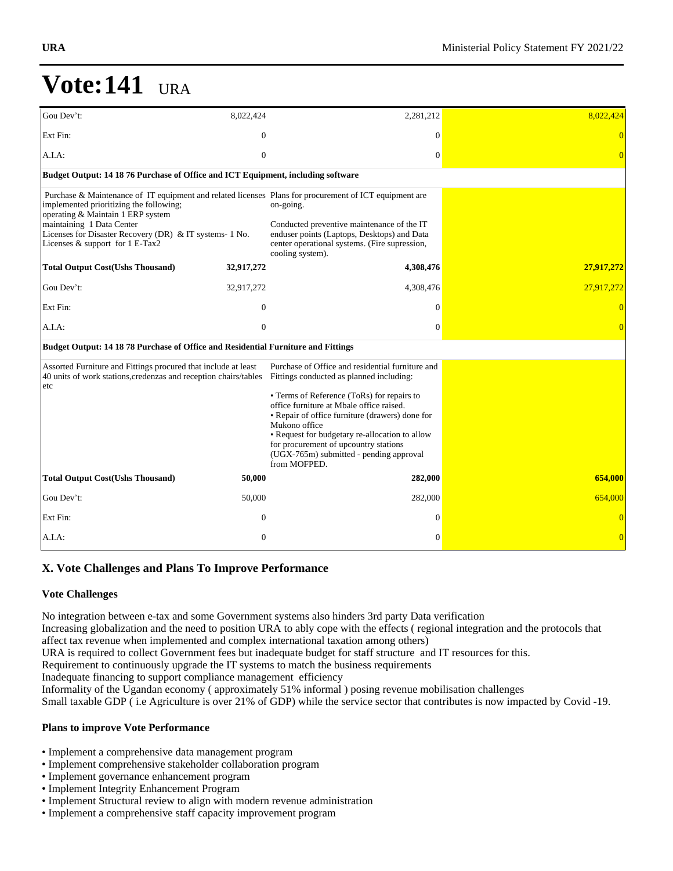| Gou Dev't:                                                                                                                                                                                              | 8,022,424      | 2,281,212                                                                                                                                                                                                                                                                                                                                                                                                        | 8,022,424      |
|---------------------------------------------------------------------------------------------------------------------------------------------------------------------------------------------------------|----------------|------------------------------------------------------------------------------------------------------------------------------------------------------------------------------------------------------------------------------------------------------------------------------------------------------------------------------------------------------------------------------------------------------------------|----------------|
| Ext Fin:                                                                                                                                                                                                | $\mathbf{0}$   | $\theta$                                                                                                                                                                                                                                                                                                                                                                                                         |                |
| A.I.A:                                                                                                                                                                                                  | $\mathbf{0}$   | $\mathbf{0}$                                                                                                                                                                                                                                                                                                                                                                                                     |                |
| Budget Output: 14 18 76 Purchase of Office and ICT Equipment, including software                                                                                                                        |                |                                                                                                                                                                                                                                                                                                                                                                                                                  |                |
| implemented prioritizing the following;<br>operating & Maintain 1 ERP system<br>maintaining 1 Data Center<br>Licenses for Disaster Recovery (DR) & IT systems- 1 No.<br>Licenses & support for 1 E-Tax2 |                | Purchase & Maintenance of IT equipment and related licenses Plans for procurement of ICT equipment are<br>on-going.<br>Conducted preventive maintenance of the IT<br>enduser points (Laptops, Desktops) and Data<br>center operational systems. (Fire supression,<br>cooling system).                                                                                                                            |                |
| <b>Total Output Cost(Ushs Thousand)</b>                                                                                                                                                                 | 32,917,272     | 4,308,476                                                                                                                                                                                                                                                                                                                                                                                                        | 27,917,272     |
| Gou Dev't:                                                                                                                                                                                              | 32,917,272     | 4,308,476                                                                                                                                                                                                                                                                                                                                                                                                        | 27,917,272     |
| Ext Fin:                                                                                                                                                                                                | $\overline{0}$ | $\Omega$                                                                                                                                                                                                                                                                                                                                                                                                         |                |
| A.I.A:                                                                                                                                                                                                  | $\mathbf{0}$   | $\mathbf{0}$                                                                                                                                                                                                                                                                                                                                                                                                     | $\overline{0}$ |
| Budget Output: 14 18 78 Purchase of Office and Residential Furniture and Fittings                                                                                                                       |                |                                                                                                                                                                                                                                                                                                                                                                                                                  |                |
| Assorted Furniture and Fittings procured that include at least<br>40 units of work stations, credenzas and reception chairs/tables<br>etc                                                               |                | Purchase of Office and residential furniture and<br>Fittings conducted as planned including:<br>• Terms of Reference (ToRs) for repairs to<br>office furniture at Mbale office raised.<br>• Repair of office furniture (drawers) done for<br>Mukono office<br>• Request for budgetary re-allocation to allow<br>for procurement of upcountry stations<br>(UGX-765m) submitted - pending approval<br>from MOFPED. |                |
| <b>Total Output Cost(Ushs Thousand)</b>                                                                                                                                                                 | 50,000         | 282,000                                                                                                                                                                                                                                                                                                                                                                                                          | 654,000        |
| Gou Dev't:                                                                                                                                                                                              | 50,000         | 282,000                                                                                                                                                                                                                                                                                                                                                                                                          | 654,000        |
| Ext Fin:                                                                                                                                                                                                | $\overline{0}$ | $\Omega$                                                                                                                                                                                                                                                                                                                                                                                                         |                |
| A.I.A:                                                                                                                                                                                                  | $\mathbf{0}$   | $\Omega$                                                                                                                                                                                                                                                                                                                                                                                                         | $\overline{0}$ |

## **X. Vote Challenges and Plans To Improve Performance**

### **Vote Challenges**

No integration between e-tax and some Government systems also hinders 3rd party Data verification Increasing globalization and the need to position URA to ably cope with the effects ( regional integration and the protocols that affect tax revenue when implemented and complex international taxation among others) URA is required to collect Government fees but inadequate budget for staff structure and IT resources for this. Requirement to continuously upgrade the IT systems to match the business requirements Inadequate financing to support compliance management efficiency Informality of the Ugandan economy ( approximately 51% informal ) posing revenue mobilisation challenges Small taxable GDP ( i.e Agriculture is over 21% of GDP) while the service sector that contributes is now impacted by Covid -19.

### **Plans to improve Vote Performance**

- Implement a comprehensive data management program
- Implement comprehensive stakeholder collaboration program
- Implement governance enhancement program
- Implement Integrity Enhancement Program
- Implement Structural review to align with modern revenue administration
- Implement a comprehensive staff capacity improvement program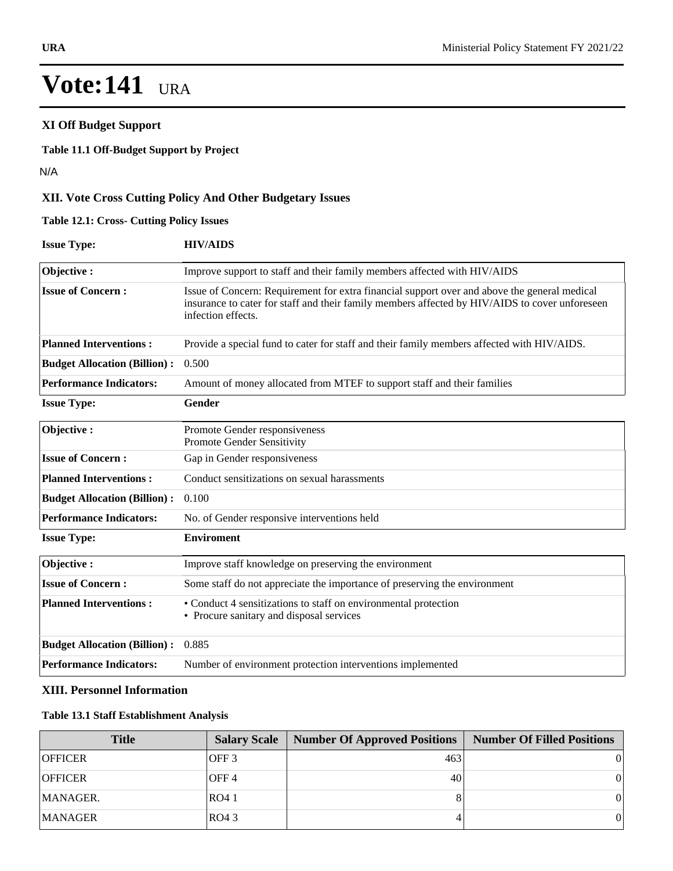### Implement Integrity Enhancement Program  $V_{\alpha}$ to align with modern review to align with modern revenue administration with modern revenue administration  $V_{\alpha}$ **Vote:141** URA

## **XI Off Budget Support**

#### **Table 11.1 Off-Budget Support by Project**

N/A

## **XII. Vote Cross Cutting Policy And Other Budgetary Issues**

### **Table 12.1: Cross- Cutting Policy Issues**

| <b>Issue Type:</b>                  | <b>HIV/AIDS</b>                                                                                                                                                                                                      |
|-------------------------------------|----------------------------------------------------------------------------------------------------------------------------------------------------------------------------------------------------------------------|
| Objective:                          | Improve support to staff and their family members affected with HIV/AIDS                                                                                                                                             |
| <b>Issue of Concern:</b>            | Issue of Concern: Requirement for extra financial support over and above the general medical<br>insurance to cater for staff and their family members affected by HIV/AIDS to cover unforeseen<br>infection effects. |
| <b>Planned Interventions:</b>       | Provide a special fund to cater for staff and their family members affected with HIV/AIDS.                                                                                                                           |
| <b>Budget Allocation (Billion):</b> | 0.500                                                                                                                                                                                                                |
| <b>Performance Indicators:</b>      | Amount of money allocated from MTEF to support staff and their families                                                                                                                                              |
| <b>Issue Type:</b>                  | Gender                                                                                                                                                                                                               |
| Objective:                          | Promote Gender responsiveness<br><b>Promote Gender Sensitivity</b>                                                                                                                                                   |
| <b>Issue of Concern:</b>            | Gap in Gender responsiveness                                                                                                                                                                                         |
| <b>Planned Interventions:</b>       | Conduct sensitizations on sexual harassments                                                                                                                                                                         |
| <b>Budget Allocation (Billion):</b> | 0.100                                                                                                                                                                                                                |
| <b>Performance Indicators:</b>      | No. of Gender responsive interventions held                                                                                                                                                                          |
| <b>Issue Type:</b>                  | <b>Enviroment</b>                                                                                                                                                                                                    |
| Objective:                          | Improve staff knowledge on preserving the environment                                                                                                                                                                |
| <b>Issue of Concern:</b>            | Some staff do not appreciate the importance of preserving the environment                                                                                                                                            |
| <b>Planned Interventions:</b>       | • Conduct 4 sensitizations to staff on environmental protection<br>• Procure sanitary and disposal services                                                                                                          |
| <b>Budget Allocation (Billion):</b> | 0.885                                                                                                                                                                                                                |

#### **XIII. Personnel Information**

### **Table 13.1 Staff Establishment Analysis**

| <b>Title</b>   | <b>Salary Scale</b> | <b>Number Of Approved Positions</b> | Number Of Filled Positions |
|----------------|---------------------|-------------------------------------|----------------------------|
| <b>OFFICER</b> | IOFF 3              | 463                                 |                            |
| <b>OFFICER</b> | IOFF 4              | 40                                  |                            |
| MANAGER.       | RO4 1               |                                     |                            |
| <b>MANAGER</b> | RO43                |                                     |                            |

**Performance Indicators:** Number of environment protection interventions implemented